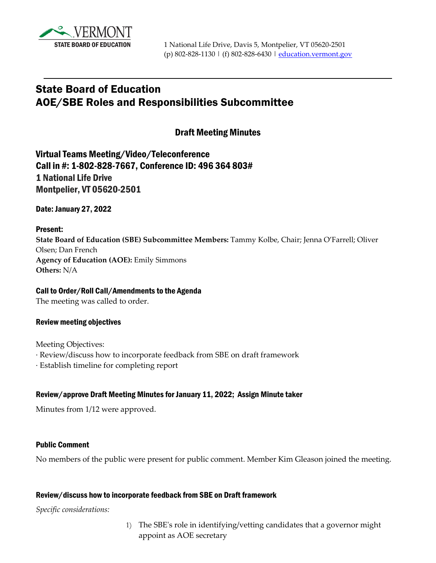

# State Board of Education AOE/SBE Roles and Responsibilities Subcommittee

### Draft Meeting Minutes

Virtual Teams Meeting/Video/Teleconference Call in #: 1-802-828-7667, Conference ID: 496 364 803# 1 National Life Drive Montpelier, VT 05620-2501

Date: January 27, 2022

#### Present:

**State Board of Education (SBE) Subcommittee Members:** Tammy Kolbe, Chair; Jenna O'Farrell; Oliver Olsen; Dan French **Agency of Education (AOE):** Emily Simmons **Others:** N/A

#### Call to Order/Roll Call/Amendments to the Agenda

The meeting was called to order.

#### Review meeting objectives

Meeting Objectives:

- · Review/discuss how to incorporate feedback from SBE on draft framework
- · Establish timeline for completing report

#### Review/approve Draft Meeting Minutes for January 11, 2022; Assign Minute taker

Minutes from 1/12 were approved.

#### Public Comment

No members of the public were present for public comment. Member Kim Gleason joined the meeting.

#### Review/discuss how to incorporate feedback from SBE on Draft framework

*Specific considerations:* 

1) The SBE's role in identifying/vetting candidates that a governor might appoint as AOE secretary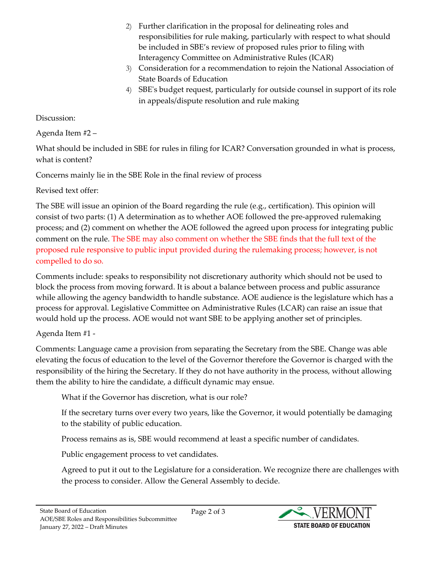- 2) Further clarification in the proposal for delineating roles and responsibilities for rule making, particularly with respect to what should be included in SBE's review of proposed rules prior to filing with Interagency Committee on Administrative Rules (ICAR)
- 3) Consideration for a recommendation to rejoin the National Association of State Boards of Education
- 4) SBE's budget request, particularly for outside counsel in support of its role in appeals/dispute resolution and rule making

## Discussion:

Agenda Item #2 –

What should be included in SBE for rules in filing for ICAR? Conversation grounded in what is process, what is content?

Concerns mainly lie in the SBE Role in the final review of process

Revised text offer:

The SBE will issue an opinion of the Board regarding the rule (e.g., certification). This opinion will consist of two parts: (1) A determination as to whether AOE followed the pre-approved rulemaking process; and (2) comment on whether the AOE followed the agreed upon process for integrating public comment on the rule. The SBE may also comment on whether the SBE finds that the full text of the proposed rule responsive to public input provided during the rulemaking process; however, is not compelled to do so.

Comments include: speaks to responsibility not discretionary authority which should not be used to block the process from moving forward. It is about a balance between process and public assurance while allowing the agency bandwidth to handle substance. AOE audience is the legislature which has a process for approval. Legislative Committee on Administrative Rules (LCAR) can raise an issue that would hold up the process. AOE would not want SBE to be applying another set of principles.

# Agenda Item #1 -

Comments: Language came a provision from separating the Secretary from the SBE. Change was able elevating the focus of education to the level of the Governor therefore the Governor is charged with the responsibility of the hiring the Secretary. If they do not have authority in the process, without allowing them the ability to hire the candidate, a difficult dynamic may ensue.

What if the Governor has discretion, what is our role?

If the secretary turns over every two years, like the Governor, it would potentially be damaging to the stability of public education.

Process remains as is, SBE would recommend at least a specific number of candidates.

Public engagement process to vet candidates.

Agreed to put it out to the Legislature for a consideration. We recognize there are challenges with the process to consider. Allow the General Assembly to decide.